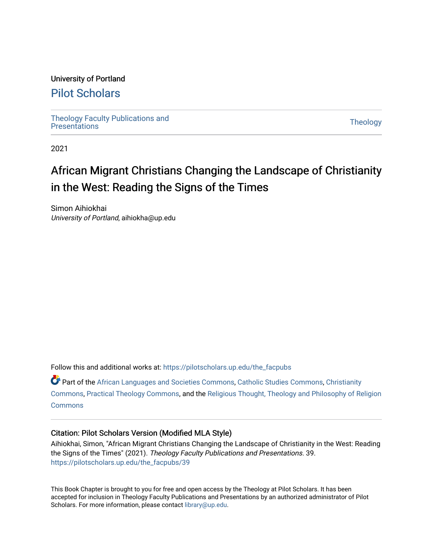#### University of Portland

### [Pilot Scholars](https://pilotscholars.up.edu/)

[Theology Faculty Publications and](https://pilotscholars.up.edu/the_facpubs) Theology Faculty Publications and<br>[Presentations](https://pilotscholars.up.edu/the_facpubs) Theology

2021

# African Migrant Christians Changing the Landscape of Christianity in the West: Reading the Signs of the Times

Simon Aihiokhai University of Portland, aihiokha@up.edu

Follow this and additional works at: [https://pilotscholars.up.edu/the\\_facpubs](https://pilotscholars.up.edu/the_facpubs?utm_source=pilotscholars.up.edu%2Fthe_facpubs%2F39&utm_medium=PDF&utm_campaign=PDFCoverPages)

Part of the [African Languages and Societies Commons,](http://network.bepress.com/hgg/discipline/476?utm_source=pilotscholars.up.edu%2Fthe_facpubs%2F39&utm_medium=PDF&utm_campaign=PDFCoverPages) [Catholic Studies Commons,](http://network.bepress.com/hgg/discipline/1294?utm_source=pilotscholars.up.edu%2Fthe_facpubs%2F39&utm_medium=PDF&utm_campaign=PDFCoverPages) [Christianity](http://network.bepress.com/hgg/discipline/1181?utm_source=pilotscholars.up.edu%2Fthe_facpubs%2F39&utm_medium=PDF&utm_campaign=PDFCoverPages) [Commons](http://network.bepress.com/hgg/discipline/1181?utm_source=pilotscholars.up.edu%2Fthe_facpubs%2F39&utm_medium=PDF&utm_campaign=PDFCoverPages), [Practical Theology Commons,](http://network.bepress.com/hgg/discipline/1186?utm_source=pilotscholars.up.edu%2Fthe_facpubs%2F39&utm_medium=PDF&utm_campaign=PDFCoverPages) and the [Religious Thought, Theology and Philosophy of Religion](http://network.bepress.com/hgg/discipline/544?utm_source=pilotscholars.up.edu%2Fthe_facpubs%2F39&utm_medium=PDF&utm_campaign=PDFCoverPages)  **[Commons](http://network.bepress.com/hgg/discipline/544?utm_source=pilotscholars.up.edu%2Fthe_facpubs%2F39&utm_medium=PDF&utm_campaign=PDFCoverPages)** 

#### Citation: Pilot Scholars Version (Modified MLA Style)

Aihiokhai, Simon, "African Migrant Christians Changing the Landscape of Christianity in the West: Reading the Signs of the Times" (2021). Theology Faculty Publications and Presentations. 39. [https://pilotscholars.up.edu/the\\_facpubs/39](https://pilotscholars.up.edu/the_facpubs/39?utm_source=pilotscholars.up.edu%2Fthe_facpubs%2F39&utm_medium=PDF&utm_campaign=PDFCoverPages) 

This Book Chapter is brought to you for free and open access by the Theology at Pilot Scholars. It has been accepted for inclusion in Theology Faculty Publications and Presentations by an authorized administrator of Pilot Scholars. For more information, please contact [library@up.edu](mailto:library@up.edu).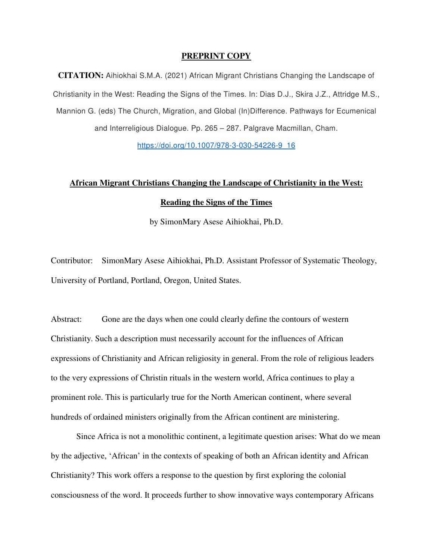#### **PREPRINT COPY**

**CITATION:** Aihiokhai S.M.A. (2021) African Migrant Christians Changing the Landscape of Christianity in the West: Reading the Signs of the Times. In: Dias D.J., Skira J.Z., Attridge M.S., Mannion G. (eds) The Church, Migration, and Global (In)Difference. Pathways for Ecumenical and Interreligious Dialogue. Pp. 265 – 287. Palgrave Macmillan, Cham.

https://doi.org/10.1007/978-3-030-54226-9\_16

## **African Migrant Christians Changing the Landscape of Christianity in the West: Reading the Signs of the Times**

by SimonMary Asese Aihiokhai, Ph.D.

Contributor: SimonMary Asese Aihiokhai, Ph.D. Assistant Professor of Systematic Theology, University of Portland, Portland, Oregon, United States.

Abstract: Gone are the days when one could clearly define the contours of western Christianity. Such a description must necessarily account for the influences of African expressions of Christianity and African religiosity in general. From the role of religious leaders to the very expressions of Christin rituals in the western world, Africa continues to play a prominent role. This is particularly true for the North American continent, where several hundreds of ordained ministers originally from the African continent are ministering.

Since Africa is not a monolithic continent, a legitimate question arises: What do we mean by the adjective, 'African' in the contexts of speaking of both an African identity and African Christianity? This work offers a response to the question by first exploring the colonial consciousness of the word. It proceeds further to show innovative ways contemporary Africans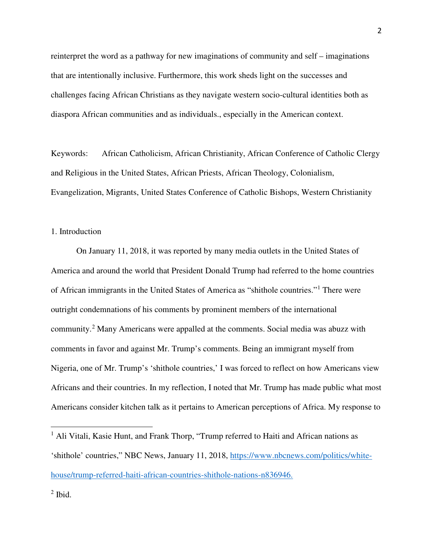reinterpret the word as a pathway for new imaginations of community and self – imaginations that are intentionally inclusive. Furthermore, this work sheds light on the successes and challenges facing African Christians as they navigate western socio-cultural identities both as diaspora African communities and as individuals., especially in the American context.

Keywords: African Catholicism, African Christianity, African Conference of Catholic Clergy and Religious in the United States, African Priests, African Theology, Colonialism, Evangelization, Migrants, United States Conference of Catholic Bishops, Western Christianity

#### 1. Introduction

On January 11, 2018, it was reported by many media outlets in the United States of America and around the world that President Donald Trump had referred to the home countries of African immigrants in the United States of America as "shithole countries."[1](#page-2-0) There were outright condemnations of his comments by prominent members of the international community.[2](#page-2-1) Many Americans were appalled at the comments. Social media was abuzz with comments in favor and against Mr. Trump's comments. Being an immigrant myself from Nigeria, one of Mr. Trump's 'shithole countries,' I was forced to reflect on how Americans view Africans and their countries. In my reflection, I noted that Mr. Trump has made public what most Americans consider kitchen talk as it pertains to American perceptions of Africa. My response to

<span id="page-2-1"></span> $<sup>2</sup>$  Ibid.</sup>

<span id="page-2-0"></span><sup>&</sup>lt;sup>1</sup> Ali Vitali, Kasie Hunt, and Frank Thorp, "Trump referred to Haiti and African nations as 'shithole' countries," NBC News, January 11, 2018, https://www.nbcnews.com/politics/whitehouse/trump-referred-haiti-african-countries-shithole-nations-n836946.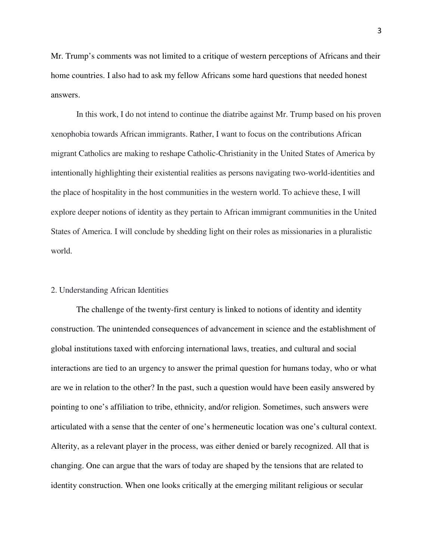Mr. Trump's comments was not limited to a critique of western perceptions of Africans and their home countries. I also had to ask my fellow Africans some hard questions that needed honest answers.

In this work, I do not intend to continue the diatribe against Mr. Trump based on his proven xenophobia towards African immigrants. Rather, I want to focus on the contributions African migrant Catholics are making to reshape Catholic-Christianity in the United States of America by intentionally highlighting their existential realities as persons navigating two-world-identities and the place of hospitality in the host communities in the western world. To achieve these, I will explore deeper notions of identity as they pertain to African immigrant communities in the United States of America. I will conclude by shedding light on their roles as missionaries in a pluralistic world.

#### 2. Understanding African Identities

The challenge of the twenty-first century is linked to notions of identity and identity construction. The unintended consequences of advancement in science and the establishment of global institutions taxed with enforcing international laws, treaties, and cultural and social interactions are tied to an urgency to answer the primal question for humans today, who or what are we in relation to the other? In the past, such a question would have been easily answered by pointing to one's affiliation to tribe, ethnicity, and/or religion. Sometimes, such answers were articulated with a sense that the center of one's hermeneutic location was one's cultural context. Alterity, as a relevant player in the process, was either denied or barely recognized. All that is changing. One can argue that the wars of today are shaped by the tensions that are related to identity construction. When one looks critically at the emerging militant religious or secular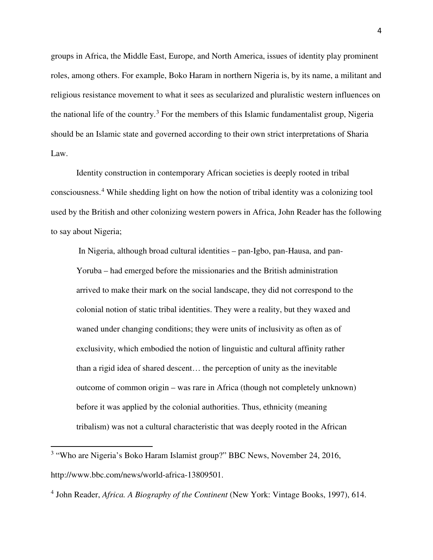groups in Africa, the Middle East, Europe, and North America, issues of identity play prominent roles, among others. For example, Boko Haram in northern Nigeria is, by its name, a militant and religious resistance movement to what it sees as secularized and pluralistic western influences on the national life of the country.<sup>[3](#page-4-0)</sup> For the members of this Islamic fundamentalist group, Nigeria should be an Islamic state and governed according to their own strict interpretations of Sharia Law.

Identity construction in contemporary African societies is deeply rooted in tribal consciousness.[4](#page-4-1) While shedding light on how the notion of tribal identity was a colonizing tool used by the British and other colonizing western powers in Africa, John Reader has the following to say about Nigeria;

 In Nigeria, although broad cultural identities – pan-Igbo, pan-Hausa, and pan-Yoruba – had emerged before the missionaries and the British administration arrived to make their mark on the social landscape, they did not correspond to the colonial notion of static tribal identities. They were a reality, but they waxed and waned under changing conditions; they were units of inclusivity as often as of exclusivity, which embodied the notion of linguistic and cultural affinity rather than a rigid idea of shared descent… the perception of unity as the inevitable outcome of common origin – was rare in Africa (though not completely unknown) before it was applied by the colonial authorities. Thus, ethnicity (meaning tribalism) was not a cultural characteristic that was deeply rooted in the African

 $\overline{a}$ 

<span id="page-4-0"></span><sup>&</sup>lt;sup>3</sup> "Who are Nigeria's Boko Haram Islamist group?" BBC News, November 24, 2016, http://www.bbc.com/news/world-africa-13809501.

<span id="page-4-1"></span><sup>4</sup> John Reader, *Africa. A Biography of the Continent* (New York: Vintage Books, 1997), 614.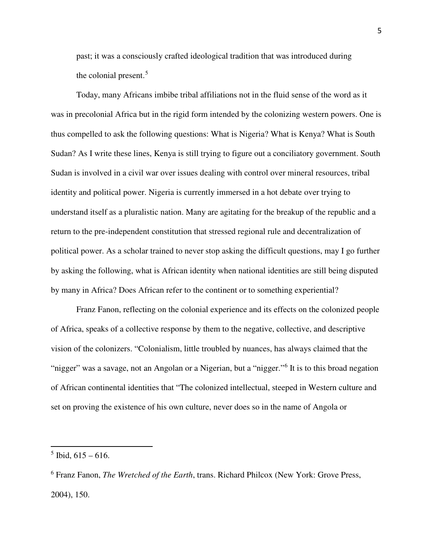past; it was a consciously crafted ideological tradition that was introduced during the colonial present. $5$ 

Today, many Africans imbibe tribal affiliations not in the fluid sense of the word as it was in precolonial Africa but in the rigid form intended by the colonizing western powers. One is thus compelled to ask the following questions: What is Nigeria? What is Kenya? What is South Sudan? As I write these lines, Kenya is still trying to figure out a conciliatory government. South Sudan is involved in a civil war over issues dealing with control over mineral resources, tribal identity and political power. Nigeria is currently immersed in a hot debate over trying to understand itself as a pluralistic nation. Many are agitating for the breakup of the republic and a return to the pre-independent constitution that stressed regional rule and decentralization of political power. As a scholar trained to never stop asking the difficult questions, may I go further by asking the following, what is African identity when national identities are still being disputed by many in Africa? Does African refer to the continent or to something experiential?

Franz Fanon, reflecting on the colonial experience and its effects on the colonized people of Africa, speaks of a collective response by them to the negative, collective, and descriptive vision of the colonizers. "Colonialism, little troubled by nuances, has always claimed that the "nigger" was a savage, not an Angolan or a Nigerian, but a "nigger."<sup>[6](#page-5-1)</sup> It is to this broad negation of African continental identities that "The colonized intellectual, steeped in Western culture and set on proving the existence of his own culture, never does so in the name of Angola or

 $\overline{a}$ 

<span id="page-5-0"></span> $<sup>5</sup>$  Ibid, 615 – 616.</sup>

<span id="page-5-1"></span><sup>6</sup> Franz Fanon, *The Wretched of the Earth*, trans. Richard Philcox (New York: Grove Press, 2004), 150.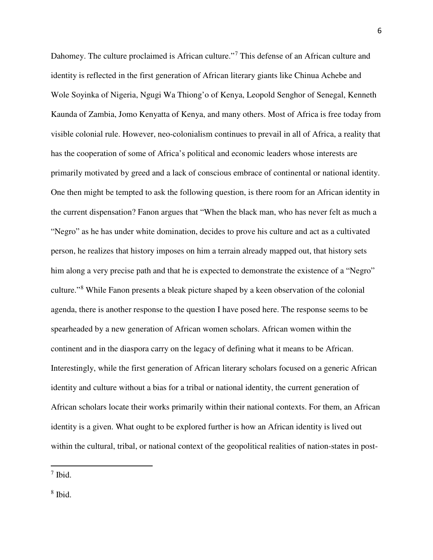Dahomey. The culture proclaimed is African culture."<sup>[7](#page-6-0)</sup> This defense of an African culture and identity is reflected in the first generation of African literary giants like Chinua Achebe and Wole Soyinka of Nigeria, Ngugi Wa Thiong'o of Kenya, Leopold Senghor of Senegal, Kenneth Kaunda of Zambia, Jomo Kenyatta of Kenya, and many others. Most of Africa is free today from visible colonial rule. However, neo-colonialism continues to prevail in all of Africa, a reality that has the cooperation of some of Africa's political and economic leaders whose interests are primarily motivated by greed and a lack of conscious embrace of continental or national identity. One then might be tempted to ask the following question, is there room for an African identity in the current dispensation? Fanon argues that "When the black man, who has never felt as much a "Negro" as he has under white domination, decides to prove his culture and act as a cultivated person, he realizes that history imposes on him a terrain already mapped out, that history sets him along a very precise path and that he is expected to demonstrate the existence of a "Negro" culture."<sup>[8](#page-6-1)</sup> While Fanon presents a bleak picture shaped by a keen observation of the colonial agenda, there is another response to the question I have posed here. The response seems to be spearheaded by a new generation of African women scholars. African women within the continent and in the diaspora carry on the legacy of defining what it means to be African. Interestingly, while the first generation of African literary scholars focused on a generic African identity and culture without a bias for a tribal or national identity, the current generation of African scholars locate their works primarily within their national contexts. For them, an African identity is a given. What ought to be explored further is how an African identity is lived out within the cultural, tribal, or national context of the geopolitical realities of nation-states in post-

֦

<span id="page-6-1"></span>8 Ibid.

<span id="page-6-0"></span><sup>7</sup> Ibid.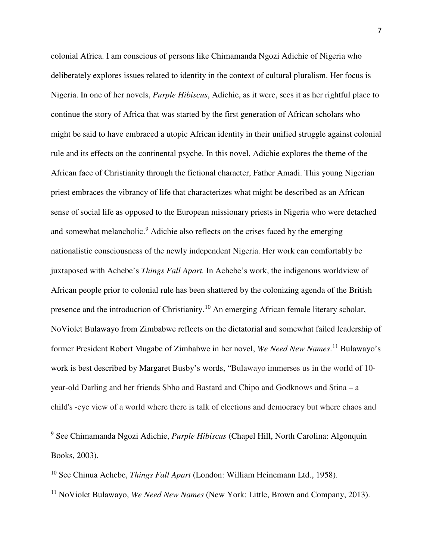colonial Africa. I am conscious of persons like Chimamanda Ngozi Adichie of Nigeria who deliberately explores issues related to identity in the context of cultural pluralism. Her focus is Nigeria. In one of her novels, *Purple Hibiscus*, Adichie, as it were, sees it as her rightful place to continue the story of Africa that was started by the first generation of African scholars who might be said to have embraced a utopic African identity in their unified struggle against colonial rule and its effects on the continental psyche. In this novel, Adichie explores the theme of the African face of Christianity through the fictional character, Father Amadi. This young Nigerian priest embraces the vibrancy of life that characterizes what might be described as an African sense of social life as opposed to the European missionary priests in Nigeria who were detached and somewhat melancholic.<sup>[9](#page-7-0)</sup> Adichie also reflects on the crises faced by the emerging nationalistic consciousness of the newly independent Nigeria. Her work can comfortably be juxtaposed with Achebe's *Things Fall Apart.* In Achebe's work, the indigenous worldview of African people prior to colonial rule has been shattered by the colonizing agenda of the British presence and the introduction of Christianity.<sup>[10](#page-7-1)</sup> An emerging African female literary scholar, NoViolet Bulawayo from Zimbabwe reflects on the dictatorial and somewhat failed leadership of former President Robert Mugabe of Zimbabwe in her novel, *We Need New Names*. [11](#page-7-2) Bulawayo's work is best described by Margaret Busby's words, "Bulawayo immerses us in the world of 10 year-old Darling and her friends Sbho and Bastard and Chipo and Godknows and Stina – a child's -eye view of a world where there is talk of elections and democracy but where chaos and

<span id="page-7-0"></span><sup>9</sup> See Chimamanda Ngozi Adichie, *Purple Hibiscus* (Chapel Hill, North Carolina: Algonquin Books, 2003).

<span id="page-7-1"></span><sup>10</sup> See Chinua Achebe, *Things Fall Apart* (London: William Heinemann Ltd., 1958).

<span id="page-7-2"></span><sup>&</sup>lt;sup>11</sup> NoViolet Bulawayo, *We Need New Names* (New York: Little, Brown and Company, 2013).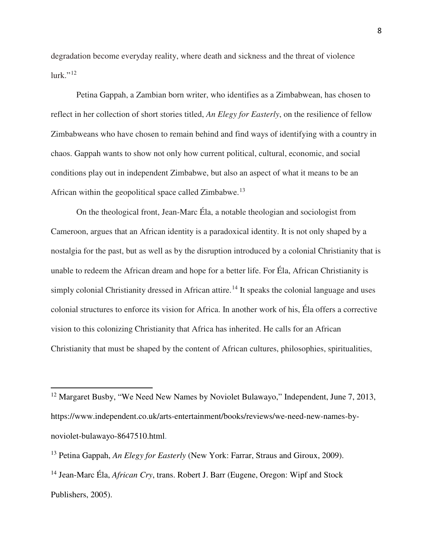degradation become everyday reality, where death and sickness and the threat of violence lurk." [12](#page-8-0)

Petina Gappah, a Zambian born writer, who identifies as a Zimbabwean, has chosen to reflect in her collection of short stories titled, *An Elegy for Easterly*, on the resilience of fellow Zimbabweans who have chosen to remain behind and find ways of identifying with a country in chaos. Gappah wants to show not only how current political, cultural, economic, and social conditions play out in independent Zimbabwe, but also an aspect of what it means to be an African within the geopolitical space called Zimbabwe.[13](#page-8-1)

On the theological front, Jean-Marc Éla, a notable theologian and sociologist from Cameroon, argues that an African identity is a paradoxical identity. It is not only shaped by a nostalgia for the past, but as well as by the disruption introduced by a colonial Christianity that is unable to redeem the African dream and hope for a better life. For Éla, African Christianity is simply colonial Christianity dressed in African attire.<sup>[14](#page-8-2)</sup> It speaks the colonial language and uses colonial structures to enforce its vision for Africa. In another work of his, Éla offers a corrective vision to this colonizing Christianity that Africa has inherited. He calls for an African Christianity that must be shaped by the content of African cultures, philosophies, spiritualities,

 $\overline{a}$ 

<span id="page-8-0"></span><sup>&</sup>lt;sup>12</sup> Margaret Busby, "We Need New Names by Noviolet Bulawayo," Independent, June 7, 2013, https://www.independent.co.uk/arts-entertainment/books/reviews/we-need-new-names-bynoviolet-bulawayo-8647510.html.

<span id="page-8-1"></span><sup>13</sup> Petina Gappah, *An Elegy for Easterly* (New York: Farrar, Straus and Giroux, 2009).

<span id="page-8-2"></span><sup>14</sup> Jean-Marc Éla, *African Cry*, trans. Robert J. Barr (Eugene, Oregon: Wipf and Stock Publishers, 2005).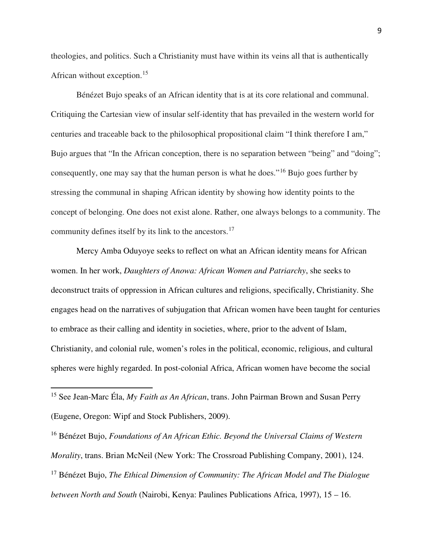theologies, and politics. Such a Christianity must have within its veins all that is authentically African without exception.<sup>[15](#page-9-0)</sup>

Bénézet Bujo speaks of an African identity that is at its core relational and communal. Critiquing the Cartesian view of insular self-identity that has prevailed in the western world for centuries and traceable back to the philosophical propositional claim "I think therefore I am," Bujo argues that "In the African conception, there is no separation between "being" and "doing"; consequently, one may say that the human person is what he does."[16](#page-9-1) Bujo goes further by stressing the communal in shaping African identity by showing how identity points to the concept of belonging. One does not exist alone. Rather, one always belongs to a community. The community defines itself by its link to the ancestors.<sup>[17](#page-9-2)</sup>

Mercy Amba Oduyoye seeks to reflect on what an African identity means for African women. In her work, *Daughters of Anowa: African Women and Patriarchy*, she seeks to deconstruct traits of oppression in African cultures and religions, specifically, Christianity. She engages head on the narratives of subjugation that African women have been taught for centuries to embrace as their calling and identity in societies, where, prior to the advent of Islam, Christianity, and colonial rule, women's roles in the political, economic, religious, and cultural spheres were highly regarded. In post-colonial Africa, African women have become the social

 $\overline{a}$ 

<span id="page-9-2"></span><span id="page-9-1"></span><sup>16</sup> Bénézet Bujo, *Foundations of An African Ethic. Beyond the Universal Claims of Western Morality*, trans. Brian McNeil (New York: The Crossroad Publishing Company, 2001), 124. <sup>17</sup> Bénézet Bujo, *The Ethical Dimension of Community: The African Model and The Dialogue between North and South* (Nairobi, Kenya: Paulines Publications Africa, 1997), 15 – 16.

<span id="page-9-0"></span><sup>15</sup> See Jean-Marc Éla, *My Faith as An African*, trans. John Pairman Brown and Susan Perry (Eugene, Oregon: Wipf and Stock Publishers, 2009).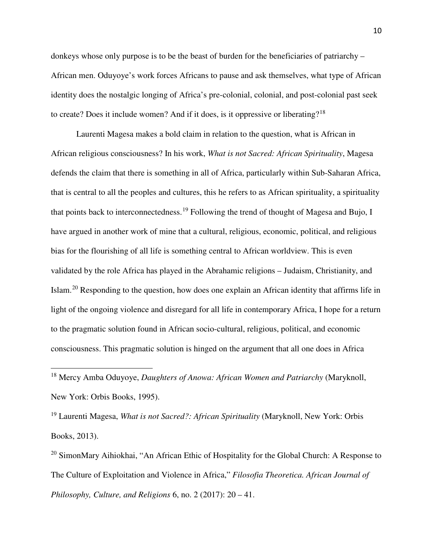donkeys whose only purpose is to be the beast of burden for the beneficiaries of patriarchy – African men. Oduyoye's work forces Africans to pause and ask themselves, what type of African identity does the nostalgic longing of Africa's pre-colonial, colonial, and post-colonial past seek to create? Does it include women? And if it does, is it oppressive or liberating?[18](#page-10-0)

Laurenti Magesa makes a bold claim in relation to the question, what is African in African religious consciousness? In his work, *What is not Sacred: African Spirituality*, Magesa defends the claim that there is something in all of Africa, particularly within Sub-Saharan Africa, that is central to all the peoples and cultures, this he refers to as African spirituality, a spirituality that points back to interconnectedness.[19](#page-10-1) Following the trend of thought of Magesa and Bujo, I have argued in another work of mine that a cultural, religious, economic, political, and religious bias for the flourishing of all life is something central to African worldview. This is even validated by the role Africa has played in the Abrahamic religions – Judaism, Christianity, and Islam.[20](#page-10-2) Responding to the question, how does one explain an African identity that affirms life in light of the ongoing violence and disregard for all life in contemporary Africa, I hope for a return to the pragmatic solution found in African socio-cultural, religious, political, and economic consciousness. This pragmatic solution is hinged on the argument that all one does in Africa

<span id="page-10-0"></span><sup>18</sup> Mercy Amba Oduyoye, *Daughters of Anowa: African Women and Patriarchy* (Maryknoll, New York: Orbis Books, 1995).

֦

<span id="page-10-1"></span><sup>19</sup> Laurenti Magesa, *What is not Sacred?: African Spirituality* (Maryknoll, New York: Orbis Books, 2013).

<span id="page-10-2"></span> $20$  SimonMary Aihiokhai, "An African Ethic of Hospitality for the Global Church: A Response to The Culture of Exploitation and Violence in Africa," *Filosofia Theoretica. African Journal of Philosophy, Culture, and Religions* 6, no. 2 (2017): 20 – 41.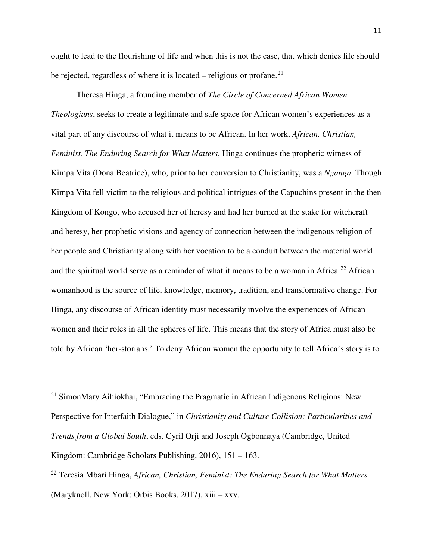ought to lead to the flourishing of life and when this is not the case, that which denies life should be rejected, regardless of where it is located – religious or profane. $21$ 

Theresa Hinga, a founding member of *The Circle of Concerned African Women Theologians*, seeks to create a legitimate and safe space for African women's experiences as a vital part of any discourse of what it means to be African. In her work, *African, Christian, Feminist. The Enduring Search for What Matters*, Hinga continues the prophetic witness of Kimpa Vita (Dona Beatrice), who, prior to her conversion to Christianity, was a *Nganga*. Though Kimpa Vita fell victim to the religious and political intrigues of the Capuchins present in the then Kingdom of Kongo, who accused her of heresy and had her burned at the stake for witchcraft and heresy, her prophetic visions and agency of connection between the indigenous religion of her people and Christianity along with her vocation to be a conduit between the material world and the spiritual world serve as a reminder of what it means to be a woman in Africa.<sup>[22](#page-11-1)</sup> African womanhood is the source of life, knowledge, memory, tradition, and transformative change. For Hinga, any discourse of African identity must necessarily involve the experiences of African women and their roles in all the spheres of life. This means that the story of Africa must also be told by African 'her-storians.' To deny African women the opportunity to tell Africa's story is to

.

<span id="page-11-0"></span><sup>&</sup>lt;sup>21</sup> SimonMary Aihiokhai, "Embracing the Pragmatic in African Indigenous Religions: New Perspective for Interfaith Dialogue," in *Christianity and Culture Collision: Particularities and Trends from a Global South*, eds. Cyril Orji and Joseph Ogbonnaya (Cambridge, United Kingdom: Cambridge Scholars Publishing, 2016), 151 – 163.

<span id="page-11-1"></span><sup>22</sup> Teresia Mbari Hinga, *African, Christian, Feminist: The Enduring Search for What Matters* (Maryknoll, New York: Orbis Books, 2017), xiii – xxv.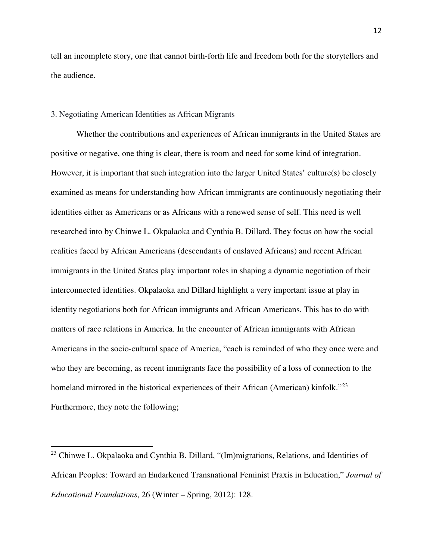tell an incomplete story, one that cannot birth-forth life and freedom both for the storytellers and the audience.

#### 3. Negotiating American Identities as African Migrants

 $\overline{a}$ 

Whether the contributions and experiences of African immigrants in the United States are positive or negative, one thing is clear, there is room and need for some kind of integration. However, it is important that such integration into the larger United States' culture(s) be closely examined as means for understanding how African immigrants are continuously negotiating their identities either as Americans or as Africans with a renewed sense of self. This need is well researched into by Chinwe L. Okpalaoka and Cynthia B. Dillard. They focus on how the social realities faced by African Americans (descendants of enslaved Africans) and recent African immigrants in the United States play important roles in shaping a dynamic negotiation of their interconnected identities. Okpalaoka and Dillard highlight a very important issue at play in identity negotiations both for African immigrants and African Americans. This has to do with matters of race relations in America. In the encounter of African immigrants with African Americans in the socio-cultural space of America, "each is reminded of who they once were and who they are becoming, as recent immigrants face the possibility of a loss of connection to the homeland mirrored in the historical experiences of their African (American) kinfolk."<sup>[23](#page-12-0)</sup> Furthermore, they note the following;

<span id="page-12-0"></span> $23$  Chinwe L. Okpalaoka and Cynthia B. Dillard, "(Im)migrations, Relations, and Identities of African Peoples: Toward an Endarkened Transnational Feminist Praxis in Education," *Journal of Educational Foundations*, 26 (Winter – Spring, 2012): 128.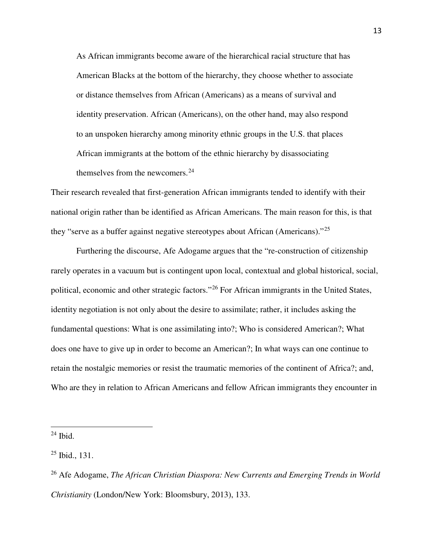As African immigrants become aware of the hierarchical racial structure that has American Blacks at the bottom of the hierarchy, they choose whether to associate or distance themselves from African (Americans) as a means of survival and identity preservation. African (Americans), on the other hand, may also respond to an unspoken hierarchy among minority ethnic groups in the U.S. that places African immigrants at the bottom of the ethnic hierarchy by disassociating themselves from the newcomers.<sup>[24](#page-13-0)</sup>

Their research revealed that first-generation African immigrants tended to identify with their national origin rather than be identified as African Americans. The main reason for this, is that they "serve as a buffer against negative stereotypes about African (Americans)."<sup>[25](#page-13-1)</sup>

Furthering the discourse, Afe Adogame argues that the "re-construction of citizenship rarely operates in a vacuum but is contingent upon local, contextual and global historical, social, political, economic and other strategic factors."[26](#page-13-2) For African immigrants in the United States, identity negotiation is not only about the desire to assimilate; rather, it includes asking the fundamental questions: What is one assimilating into?; Who is considered American?; What does one have to give up in order to become an American?; In what ways can one continue to retain the nostalgic memories or resist the traumatic memories of the continent of Africa?; and, Who are they in relation to African Americans and fellow African immigrants they encounter in

<span id="page-13-0"></span> $24$  Ibid.

<span id="page-13-1"></span> $25$  Ibid., 131.

<span id="page-13-2"></span><sup>26</sup> Afe Adogame, *The African Christian Diaspora: New Currents and Emerging Trends in World Christianity* (London/New York: Bloomsbury, 2013), 133.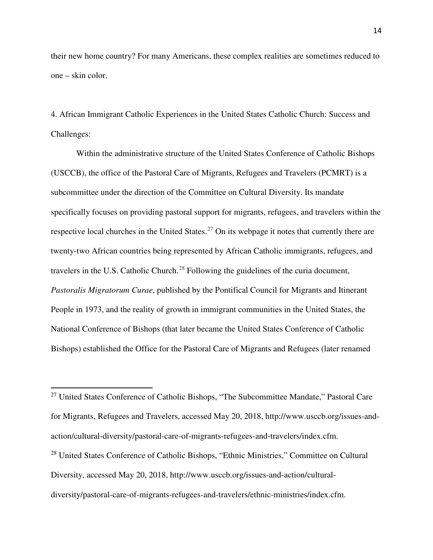their new home country? For many Americans, these complex realities are sometimes reduced to one – skin color.

4. African Immigrant Catholic Experiences in the United States Catholic Church: Success and Challenges:

Within the administrative structure of the United States Conference of Catholic Bishops (USCCB), the office of the Pastoral Care of Migrants, Refugees and Travelers (PCMRT) is a subcommittee under the direction of the Committee on Cultural Diversity. Its mandate specifically focuses on providing pastoral support for migrants, refugees, and travelers within the respective local churches in the United States.<sup>[27](#page-14-0)</sup> On its webpage it notes that currently there are twenty-two African countries being represented by African Catholic immigrants, refugees, and travelers in the U.S. Catholic Church.<sup>[28](#page-14-1)</sup> Following the guidelines of the curia document, *Pastoralis Migratorum Curae*, published by the Pontifical Council for Migrants and Itinerant People in 1973, and the reality of growth in immigrant communities in the United States, the National Conference of Bishops (that later became the United States Conference of Catholic Bishops) established the Office for the Pastoral Care of Migrants and Refugees (later renamed

<span id="page-14-0"></span> $27$  United States Conference of Catholic Bishops, "The Subcommittee Mandate," Pastoral Care for Migrants, Refugees and Travelers, accessed May 20, 2018, http://www.usccb.org/issues-andaction/cultural-diversity/pastoral-care-of-migrants-refugees-and-travelers/index.cfm.

.

<span id="page-14-1"></span><sup>28</sup> United States Conference of Catholic Bishops, "Ethnic Ministries," Committee on Cultural Diversity, accessed May 20, 2018, http://www.usccb.org/issues-and-action/culturaldiversity/pastoral-care-of-migrants-refugees-and-travelers/ethnic-ministries/index.cfm.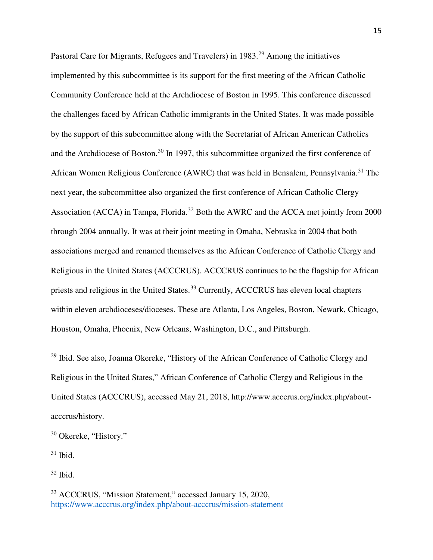Pastoral Care for Migrants, Refugees and Travelers) in 1983.<sup>[29](#page-15-0)</sup> Among the initiatives implemented by this subcommittee is its support for the first meeting of the African Catholic Community Conference held at the Archdiocese of Boston in 1995. This conference discussed the challenges faced by African Catholic immigrants in the United States. It was made possible by the support of this subcommittee along with the Secretariat of African American Catholics and the Archdiocese of Boston.[30](#page-15-1) In 1997, this subcommittee organized the first conference of African Women Religious Conference (AWRC) that was held in Bensalem, Pennsylvania.<sup>[31](#page-15-2)</sup> The next year, the subcommittee also organized the first conference of African Catholic Clergy Association (ACCA) in Tampa, Florida.<sup>[32](#page-15-3)</sup> Both the AWRC and the ACCA met jointly from 2000 through 2004 annually. It was at their joint meeting in Omaha, Nebraska in 2004 that both associations merged and renamed themselves as the African Conference of Catholic Clergy and Religious in the United States (ACCCRUS). ACCCRUS continues to be the flagship for African priests and religious in the United States.<sup>[33](#page-15-4)</sup> Currently, ACCCRUS has eleven local chapters within eleven archdioceses/dioceses. These are Atlanta, Los Angeles, Boston, Newark, Chicago, Houston, Omaha, Phoenix, New Orleans, Washington, D.C., and Pittsburgh.

<span id="page-15-2"></span> $31$  Ibid.

.

<span id="page-15-3"></span> $32$  Ibid.

<span id="page-15-0"></span><sup>&</sup>lt;sup>29</sup> Ibid. See also, Joanna Okereke, "History of the African Conference of Catholic Clergy and Religious in the United States," African Conference of Catholic Clergy and Religious in the United States (ACCCRUS), accessed May 21, 2018, http://www.acccrus.org/index.php/aboutacccrus/history.

<span id="page-15-1"></span><sup>30</sup> Okereke, "History."

<span id="page-15-4"></span><sup>33</sup> ACCCRUS, "Mission Statement," accessed January 15, 2020, https://www.acccrus.org/index.php/about-acccrus/mission-statement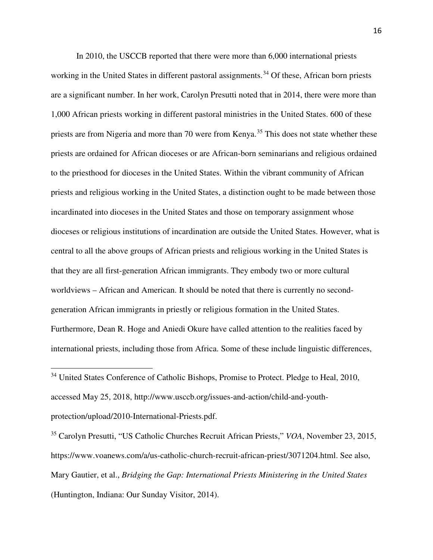In 2010, the USCCB reported that there were more than 6,000 international priests working in the United States in different pastoral assignments.<sup>[34](#page-16-0)</sup> Of these, African born priests are a significant number. In her work, Carolyn Presutti noted that in 2014, there were more than 1,000 African priests working in different pastoral ministries in the United States. 600 of these priests are from Nigeria and more than 70 were from Kenya.<sup>[35](#page-16-1)</sup> This does not state whether these priests are ordained for African dioceses or are African-born seminarians and religious ordained to the priesthood for dioceses in the United States. Within the vibrant community of African priests and religious working in the United States, a distinction ought to be made between those incardinated into dioceses in the United States and those on temporary assignment whose dioceses or religious institutions of incardination are outside the United States. However, what is central to all the above groups of African priests and religious working in the United States is that they are all first-generation African immigrants. They embody two or more cultural worldviews – African and American. It should be noted that there is currently no secondgeneration African immigrants in priestly or religious formation in the United States. Furthermore, Dean R. Hoge and Aniedi Okure have called attention to the realities faced by international priests, including those from Africa. Some of these include linguistic differences,

.

<span id="page-16-1"></span><sup>35</sup> Carolyn Presutti, "US Catholic Churches Recruit African Priests," *VOA*, November 23, 2015, https://www.voanews.com/a/us-catholic-church-recruit-african-priest/3071204.html. See also, Mary Gautier, et al., *Bridging the Gap: International Priests Ministering in the United States* (Huntington, Indiana: Our Sunday Visitor, 2014).

<span id="page-16-0"></span><sup>&</sup>lt;sup>34</sup> United States Conference of Catholic Bishops, Promise to Protect. Pledge to Heal, 2010, accessed May 25, 2018, http://www.usccb.org/issues-and-action/child-and-youthprotection/upload/2010-International-Priests.pdf.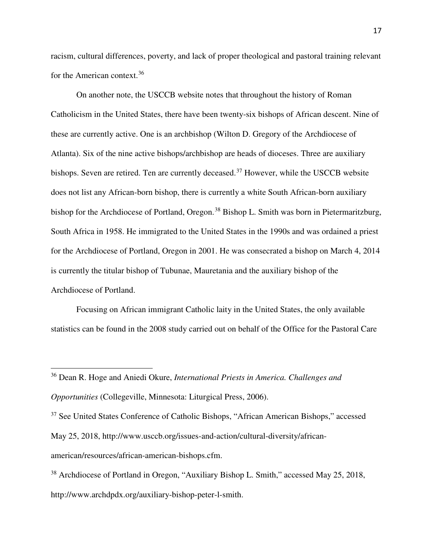racism, cultural differences, poverty, and lack of proper theological and pastoral training relevant for the American context.[36](#page-17-0)

On another note, the USCCB website notes that throughout the history of Roman Catholicism in the United States, there have been twenty-six bishops of African descent. Nine of these are currently active. One is an archbishop (Wilton D. Gregory of the Archdiocese of Atlanta). Six of the nine active bishops/archbishop are heads of dioceses. Three are auxiliary bishops. Seven are retired. Ten are currently deceased.<sup>[37](#page-17-1)</sup> However, while the USCCB website does not list any African-born bishop, there is currently a white South African-born auxiliary bishop for the Archdiocese of Portland, Oregon.<sup>[38](#page-17-2)</sup> Bishop L. Smith was born in Pietermaritzburg, South Africa in 1958. He immigrated to the United States in the 1990s and was ordained a priest for the Archdiocese of Portland, Oregon in 2001. He was consecrated a bishop on March 4, 2014 is currently the titular bishop of Tubunae, Mauretania and the auxiliary bishop of the Archdiocese of Portland.

Focusing on African immigrant Catholic laity in the United States, the only available statistics can be found in the 2008 study carried out on behalf of the Office for the Pastoral Care

<span id="page-17-0"></span><sup>36</sup> Dean R. Hoge and Aniedi Okure, *International Priests in America. Challenges and Opportunities* (Collegeville, Minnesota: Liturgical Press, 2006).

֦

<span id="page-17-1"></span><sup>37</sup> See United States Conference of Catholic Bishops, "African American Bishops," accessed May 25, 2018, http://www.usccb.org/issues-and-action/cultural-diversity/africanamerican/resources/african-american-bishops.cfm.

<span id="page-17-2"></span><sup>38</sup> Archdiocese of Portland in Oregon, "Auxiliary Bishop L. Smith," accessed May 25, 2018, http://www.archdpdx.org/auxiliary-bishop-peter-l-smith.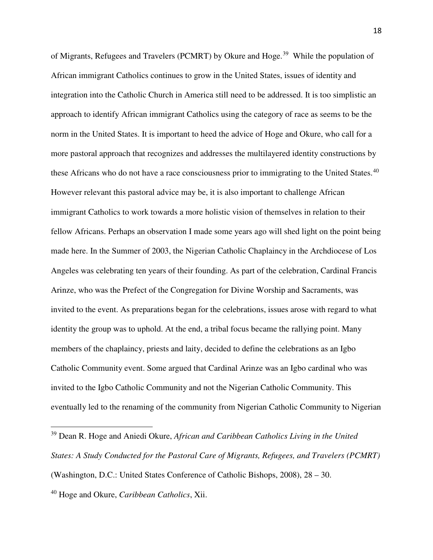of Migrants, Refugees and Travelers (PCMRT) by Okure and Hoge.<sup>[39](#page-18-0)</sup> While the population of African immigrant Catholics continues to grow in the United States, issues of identity and integration into the Catholic Church in America still need to be addressed. It is too simplistic an approach to identify African immigrant Catholics using the category of race as seems to be the norm in the United States. It is important to heed the advice of Hoge and Okure, who call for a more pastoral approach that recognizes and addresses the multilayered identity constructions by these Africans who do not have a race consciousness prior to immigrating to the United States.<sup>[40](#page-18-1)</sup> However relevant this pastoral advice may be, it is also important to challenge African immigrant Catholics to work towards a more holistic vision of themselves in relation to their fellow Africans. Perhaps an observation I made some years ago will shed light on the point being made here. In the Summer of 2003, the Nigerian Catholic Chaplaincy in the Archdiocese of Los Angeles was celebrating ten years of their founding. As part of the celebration, Cardinal Francis Arinze, who was the Prefect of the Congregation for Divine Worship and Sacraments, was invited to the event. As preparations began for the celebrations, issues arose with regard to what identity the group was to uphold. At the end, a tribal focus became the rallying point. Many members of the chaplaincy, priests and laity, decided to define the celebrations as an Igbo Catholic Community event. Some argued that Cardinal Arinze was an Igbo cardinal who was invited to the Igbo Catholic Community and not the Nigerian Catholic Community. This eventually led to the renaming of the community from Nigerian Catholic Community to Nigerian

<span id="page-18-0"></span><sup>39</sup> Dean R. Hoge and Aniedi Okure, *African and Caribbean Catholics Living in the United States: A Study Conducted for the Pastoral Care of Migrants, Refugees, and Travelers (PCMRT)* (Washington, D.C.: United States Conference of Catholic Bishops, 2008), 28 – 30.

<span id="page-18-1"></span><sup>40</sup> Hoge and Okure, *Caribbean Catholics*, Xii.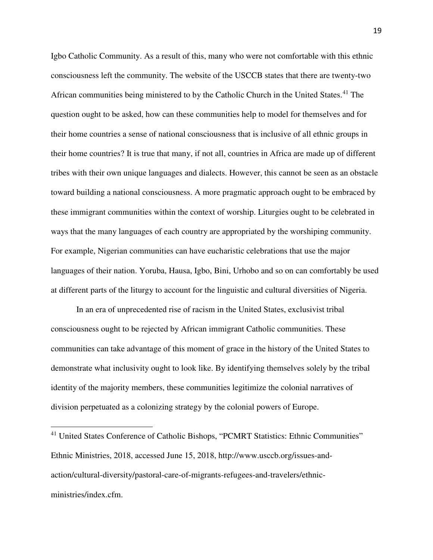Igbo Catholic Community. As a result of this, many who were not comfortable with this ethnic consciousness left the community. The website of the USCCB states that there are twenty-two African communities being ministered to by the Catholic Church in the United States. [41](#page-19-0) The question ought to be asked, how can these communities help to model for themselves and for their home countries a sense of national consciousness that is inclusive of all ethnic groups in their home countries? It is true that many, if not all, countries in Africa are made up of different tribes with their own unique languages and dialects. However, this cannot be seen as an obstacle toward building a national consciousness. A more pragmatic approach ought to be embraced by these immigrant communities within the context of worship. Liturgies ought to be celebrated in ways that the many languages of each country are appropriated by the worshiping community. For example, Nigerian communities can have eucharistic celebrations that use the major languages of their nation. Yoruba, Hausa, Igbo, Bini, Urhobo and so on can comfortably be used at different parts of the liturgy to account for the linguistic and cultural diversities of Nigeria.

In an era of unprecedented rise of racism in the United States, exclusivist tribal consciousness ought to be rejected by African immigrant Catholic communities. These communities can take advantage of this moment of grace in the history of the United States to demonstrate what inclusivity ought to look like. By identifying themselves solely by the tribal identity of the majority members, these communities legitimize the colonial narratives of division perpetuated as a colonizing strategy by the colonial powers of Europe.

.

<span id="page-19-0"></span><sup>&</sup>lt;sup>41</sup> United States Conference of Catholic Bishops, "PCMRT Statistics: Ethnic Communities" Ethnic Ministries, 2018, accessed June 15, 2018, http://www.usccb.org/issues-andaction/cultural-diversity/pastoral-care-of-migrants-refugees-and-travelers/ethnicministries/index.cfm.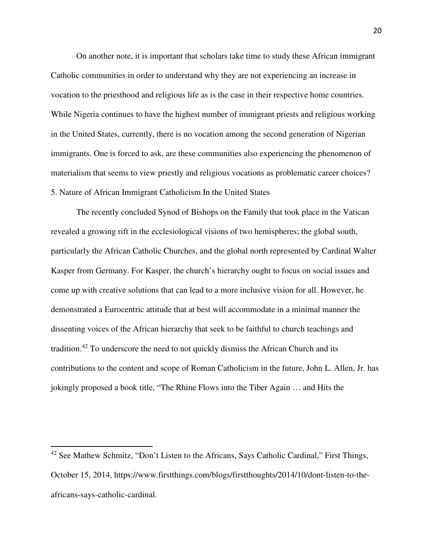On another note, it is important that scholars take time to study these African immigrant Catholic communities in order to understand why they are not experiencing an increase in vocation to the priesthood and religious life as is the case in their respective home countries. While Nigeria continues to have the highest number of immigrant priests and religious working in the United States, currently, there is no vocation among the second generation of Nigerian immigrants. One is forced to ask, are these communities also experiencing the phenomenon of materialism that seems to view priestly and religious vocations as problematic career choices? 5. Nature of African Immigrant Catholicism In the United States

The recently concluded Synod of Bishops on the Family that took place in the Vatican revealed a growing rift in the ecclesiological visions of two hemispheres; the global south, particularly the African Catholic Churches, and the global north represented by Cardinal Walter Kasper from Germany. For Kasper, the church's hierarchy ought to focus on social issues and come up with creative solutions that can lead to a more inclusive vision for all. However, he demonstrated a Eurocentric attitude that at best will accommodate in a minimal manner the dissenting voices of the African hierarchy that seek to be faithful to church teachings and tradition.[42](#page-20-0) To underscore the need to not quickly dismiss the African Church and its contributions to the content and scope of Roman Catholicism in the future, John L. Allen, Jr. has jokingly proposed a book title, "The Rhine Flows into the Tiber Again … and Hits the

 $\overline{a}$ 

<span id="page-20-0"></span><sup>&</sup>lt;sup>42</sup> See Mathew Schmitz, "Don't Listen to the Africans, Says Catholic Cardinal," First Things, October 15, 2014, https://www.firstthings.com/blogs/firstthoughts/2014/10/dont-listen-to-theafricans-says-catholic-cardinal.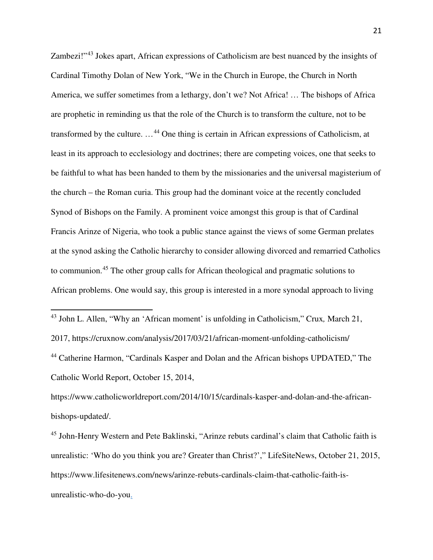Zambezi!"<sup>[43](#page-21-0)</sup> Jokes apart, African expressions of Catholicism are best nuanced by the insights of Cardinal Timothy Dolan of New York, "We in the Church in Europe, the Church in North America, we suffer sometimes from a lethargy, don't we? Not Africa! … The bishops of Africa are prophetic in reminding us that the role of the Church is to transform the culture, not to be transformed by the culture. …[44](#page-21-1) One thing is certain in African expressions of Catholicism, at least in its approach to ecclesiology and doctrines; there are competing voices, one that seeks to be faithful to what has been handed to them by the missionaries and the universal magisterium of the church – the Roman curia. This group had the dominant voice at the recently concluded Synod of Bishops on the Family. A prominent voice amongst this group is that of Cardinal Francis Arinze of Nigeria, who took a public stance against the views of some German prelates at the synod asking the Catholic hierarchy to consider allowing divorced and remarried Catholics to communion.[45](#page-21-2) The other group calls for African theological and pragmatic solutions to African problems. One would say, this group is interested in a more synodal approach to living

<span id="page-21-0"></span><sup>43</sup> John L. Allen, "Why an 'African moment' is unfolding in Catholicism," Crux*,* March 21, 2017, https://cruxnow.com/analysis/2017/03/21/african-moment-unfolding-catholicism/

֦

<span id="page-21-1"></span><sup>44</sup> Catherine Harmon, "Cardinals Kasper and Dolan and the African bishops UPDATED," The Catholic World Report, October 15, 2014,

https://www.catholicworldreport.com/2014/10/15/cardinals-kasper-and-dolan-and-the-africanbishops-updated/.

<span id="page-21-2"></span><sup>45</sup> John-Henry Western and Pete Baklinski, "Arinze rebuts cardinal's claim that Catholic faith is unrealistic: 'Who do you think you are? Greater than Christ?'," LifeSiteNews, October 21, 2015, https://www.lifesitenews.com/news/arinze-rebuts-cardinals-claim-that-catholic-faith-isunrealistic-who-do-you.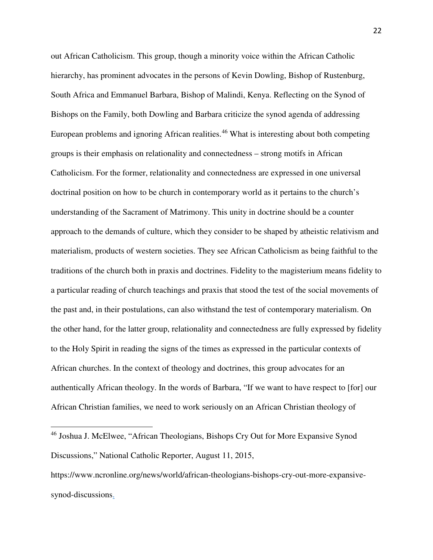out African Catholicism. This group, though a minority voice within the African Catholic hierarchy, has prominent advocates in the persons of Kevin Dowling, Bishop of Rustenburg, South Africa and Emmanuel Barbara, Bishop of Malindi, Kenya. Reflecting on the Synod of Bishops on the Family, both Dowling and Barbara criticize the synod agenda of addressing European problems and ignoring African realities.<sup>[46](#page-22-0)</sup> What is interesting about both competing groups is their emphasis on relationality and connectedness – strong motifs in African Catholicism. For the former, relationality and connectedness are expressed in one universal doctrinal position on how to be church in contemporary world as it pertains to the church's understanding of the Sacrament of Matrimony. This unity in doctrine should be a counter approach to the demands of culture, which they consider to be shaped by atheistic relativism and materialism, products of western societies. They see African Catholicism as being faithful to the traditions of the church both in praxis and doctrines. Fidelity to the magisterium means fidelity to a particular reading of church teachings and praxis that stood the test of the social movements of the past and, in their postulations, can also withstand the test of contemporary materialism. On the other hand, for the latter group, relationality and connectedness are fully expressed by fidelity to the Holy Spirit in reading the signs of the times as expressed in the particular contexts of African churches. In the context of theology and doctrines, this group advocates for an authentically African theology. In the words of Barbara, "If we want to have respect to [for] our African Christian families, we need to work seriously on an African Christian theology of

<span id="page-22-0"></span><sup>46</sup> Joshua J. McElwee, "African Theologians, Bishops Cry Out for More Expansive Synod Discussions," National Catholic Reporter, August 11, 2015,

https://www.ncronline.org/news/world/african-theologians-bishops-cry-out-more-expansivesynod-discussions.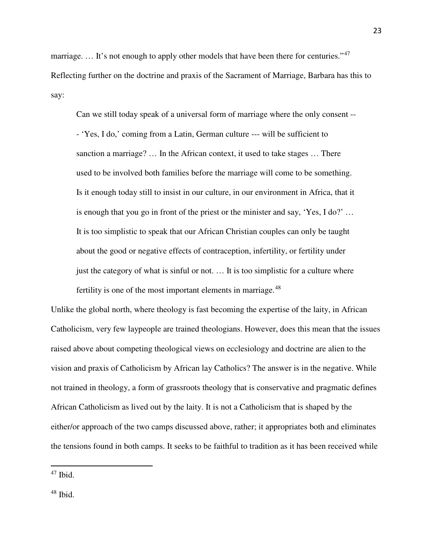marriage. ... It's not enough to apply other models that have been there for centuries."<sup>[47](#page-23-0)</sup> Reflecting further on the doctrine and praxis of the Sacrament of Marriage, Barbara has this to say:

Can we still today speak of a universal form of marriage where the only consent -- - 'Yes, I do,' coming from a Latin, German culture --- will be sufficient to sanction a marriage? … In the African context, it used to take stages … There used to be involved both families before the marriage will come to be something. Is it enough today still to insist in our culture, in our environment in Africa, that it is enough that you go in front of the priest or the minister and say, 'Yes, I do?' … It is too simplistic to speak that our African Christian couples can only be taught about the good or negative effects of contraception, infertility, or fertility under just the category of what is sinful or not. ... It is too simplistic for a culture where fertility is one of the most important elements in marriage.<sup>[48](#page-23-1)</sup>

Unlike the global north, where theology is fast becoming the expertise of the laity, in African Catholicism, very few laypeople are trained theologians. However, does this mean that the issues raised above about competing theological views on ecclesiology and doctrine are alien to the vision and praxis of Catholicism by African lay Catholics? The answer is in the negative. While not trained in theology, a form of grassroots theology that is conservative and pragmatic defines African Catholicism as lived out by the laity. It is not a Catholicism that is shaped by the either/or approach of the two camps discussed above, rather; it appropriates both and eliminates the tensions found in both camps. It seeks to be faithful to tradition as it has been received while

.

<span id="page-23-1"></span> $48$  Ibid.

<span id="page-23-0"></span> $47$  Ibid.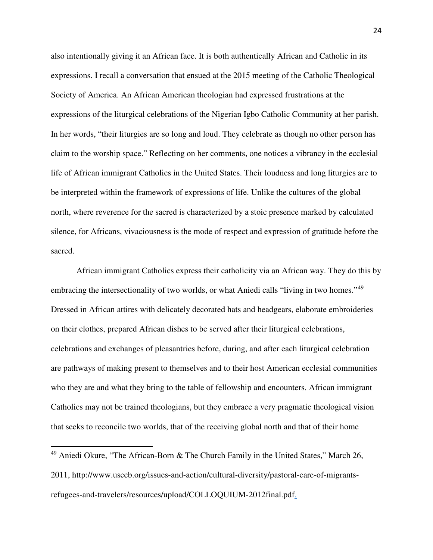also intentionally giving it an African face. It is both authentically African and Catholic in its expressions. I recall a conversation that ensued at the 2015 meeting of the Catholic Theological Society of America. An African American theologian had expressed frustrations at the expressions of the liturgical celebrations of the Nigerian Igbo Catholic Community at her parish. In her words, "their liturgies are so long and loud. They celebrate as though no other person has claim to the worship space." Reflecting on her comments, one notices a vibrancy in the ecclesial life of African immigrant Catholics in the United States. Their loudness and long liturgies are to be interpreted within the framework of expressions of life. Unlike the cultures of the global north, where reverence for the sacred is characterized by a stoic presence marked by calculated silence, for Africans, vivaciousness is the mode of respect and expression of gratitude before the sacred.

African immigrant Catholics express their catholicity via an African way. They do this by embracing the intersectionality of two worlds, or what Aniedi calls "living in two homes."<sup>[49](#page-24-0)</sup> Dressed in African attires with delicately decorated hats and headgears, elaborate embroideries on their clothes, prepared African dishes to be served after their liturgical celebrations, celebrations and exchanges of pleasantries before, during, and after each liturgical celebration are pathways of making present to themselves and to their host American ecclesial communities who they are and what they bring to the table of fellowship and encounters. African immigrant Catholics may not be trained theologians, but they embrace a very pragmatic theological vision that seeks to reconcile two worlds, that of the receiving global north and that of their home

.

<span id="page-24-0"></span> $49$  Aniedi Okure, "The African-Born & The Church Family in the United States," March 26, 2011, http://www.usccb.org/issues-and-action/cultural-diversity/pastoral-care-of-migrantsrefugees-and-travelers/resources/upload/COLLOQUIUM-2012final.pdf.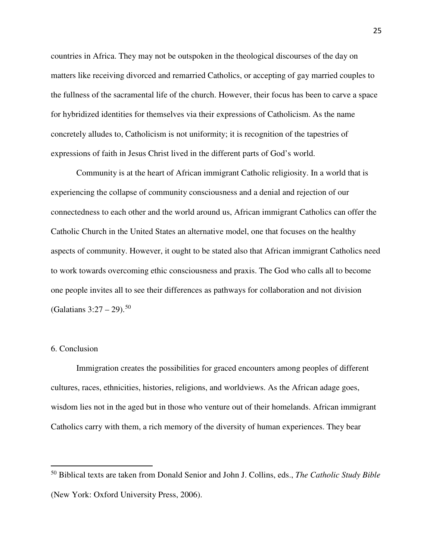countries in Africa. They may not be outspoken in the theological discourses of the day on matters like receiving divorced and remarried Catholics, or accepting of gay married couples to the fullness of the sacramental life of the church. However, their focus has been to carve a space for hybridized identities for themselves via their expressions of Catholicism. As the name concretely alludes to, Catholicism is not uniformity; it is recognition of the tapestries of expressions of faith in Jesus Christ lived in the different parts of God's world.

Community is at the heart of African immigrant Catholic religiosity. In a world that is experiencing the collapse of community consciousness and a denial and rejection of our connectedness to each other and the world around us, African immigrant Catholics can offer the Catholic Church in the United States an alternative model, one that focuses on the healthy aspects of community. However, it ought to be stated also that African immigrant Catholics need to work towards overcoming ethic consciousness and praxis. The God who calls all to become one people invites all to see their differences as pathways for collaboration and not division (Galatians  $3:27 - 29$ ).<sup>[50](#page-25-0)</sup>

#### 6. Conclusion

֦

Immigration creates the possibilities for graced encounters among peoples of different cultures, races, ethnicities, histories, religions, and worldviews. As the African adage goes, wisdom lies not in the aged but in those who venture out of their homelands. African immigrant Catholics carry with them, a rich memory of the diversity of human experiences. They bear

<span id="page-25-0"></span><sup>50</sup> Biblical texts are taken from Donald Senior and John J. Collins, eds., *The Catholic Study Bible* (New York: Oxford University Press, 2006).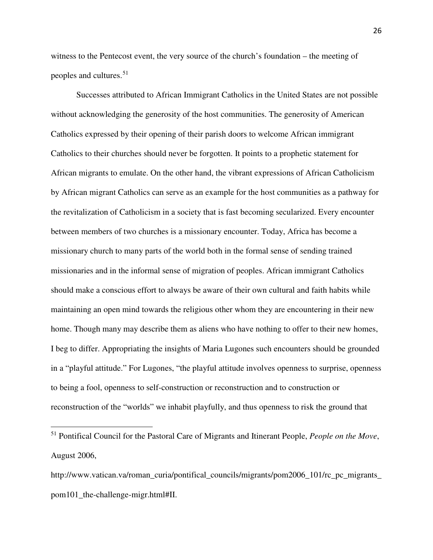witness to the Pentecost event, the very source of the church's foundation – the meeting of peoples and cultures.<sup>[51](#page-26-0)</sup>

Successes attributed to African Immigrant Catholics in the United States are not possible without acknowledging the generosity of the host communities. The generosity of American Catholics expressed by their opening of their parish doors to welcome African immigrant Catholics to their churches should never be forgotten. It points to a prophetic statement for African migrants to emulate. On the other hand, the vibrant expressions of African Catholicism by African migrant Catholics can serve as an example for the host communities as a pathway for the revitalization of Catholicism in a society that is fast becoming secularized. Every encounter between members of two churches is a missionary encounter. Today, Africa has become a missionary church to many parts of the world both in the formal sense of sending trained missionaries and in the informal sense of migration of peoples. African immigrant Catholics should make a conscious effort to always be aware of their own cultural and faith habits while maintaining an open mind towards the religious other whom they are encountering in their new home. Though many may describe them as aliens who have nothing to offer to their new homes, I beg to differ. Appropriating the insights of Maria Lugones such encounters should be grounded in a "playful attitude." For Lugones, "the playful attitude involves openness to surprise, openness to being a fool, openness to self-construction or reconstruction and to construction or reconstruction of the "worlds" we inhabit playfully, and thus openness to risk the ground that

<span id="page-26-0"></span><sup>51</sup> Pontifical Council for the Pastoral Care of Migrants and Itinerant People, *People on the Move*, August 2006,

http://www.vatican.va/roman\_curia/pontifical\_councils/migrants/pom2006\_101/rc\_pc\_migrants pom101\_the-challenge-migr.html#II.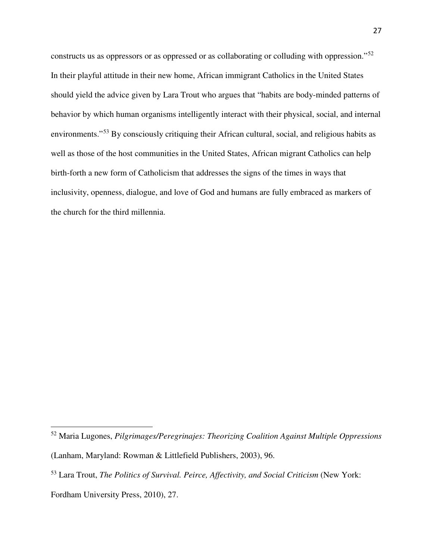constructs us as oppressors or as oppressed or as collaborating or colluding with oppression."[52](#page-27-0) In their playful attitude in their new home, African immigrant Catholics in the United States should yield the advice given by Lara Trout who argues that "habits are body-minded patterns of behavior by which human organisms intelligently interact with their physical, social, and internal environments."<sup>[53](#page-27-1)</sup> By consciously critiquing their African cultural, social, and religious habits as well as those of the host communities in the United States, African migrant Catholics can help birth-forth a new form of Catholicism that addresses the signs of the times in ways that inclusivity, openness, dialogue, and love of God and humans are fully embraced as markers of the church for the third millennia.

<span id="page-27-0"></span><sup>52</sup> Maria Lugones, *Pilgrimages/Peregrinajes: Theorizing Coalition Against Multiple Oppressions*

<sup>(</sup>Lanham, Maryland: Rowman & Littlefield Publishers, 2003), 96.

<span id="page-27-1"></span><sup>53</sup> Lara Trout, *The Politics of Survival. Peirce, Affectivity, and Social Criticism* (New York:

Fordham University Press, 2010), 27.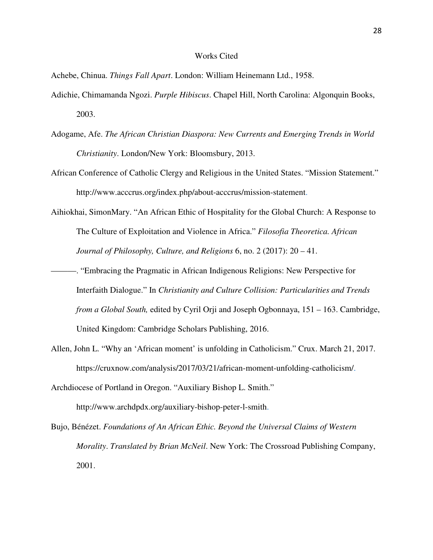#### Works Cited

Achebe, Chinua. *Things Fall Apart*. London: William Heinemann Ltd., 1958.

- Adichie, Chimamanda Ngozi. *Purple Hibiscus*. Chapel Hill, North Carolina: Algonquin Books, 2003.
- Adogame, Afe. *The African Christian Diaspora: New Currents and Emerging Trends in World Christianity*. London/New York: Bloomsbury, 2013.
- African Conference of Catholic Clergy and Religious in the United States. "Mission Statement." http://www.acccrus.org/index.php/about-acccrus/mission-statement.
- Aihiokhai, SimonMary. "An African Ethic of Hospitality for the Global Church: A Response to The Culture of Exploitation and Violence in Africa." *Filosofia Theoretica. African Journal of Philosophy, Culture, and Religions* 6, no. 2 (2017): 20 – 41.
- ———. "Embracing the Pragmatic in African Indigenous Religions: New Perspective for Interfaith Dialogue." In *Christianity and Culture Collision: Particularities and Trends from a Global South,* edited by Cyril Orji and Joseph Ogbonnaya, 151 – 163. Cambridge, United Kingdom: Cambridge Scholars Publishing, 2016.
- Allen, John L. "Why an 'African moment' is unfolding in Catholicism." Crux. March 21, 2017. https://cruxnow.com/analysis/2017/03/21/african-moment-unfolding-catholicism/.
- Archdiocese of Portland in Oregon. "Auxiliary Bishop L. Smith." http://www.archdpdx.org/auxiliary-bishop-peter-l-smith.
- Bujo, Bénézet. *Foundations of An African Ethic. Beyond the Universal Claims of Western Morality*. *Translated by Brian McNeil*. New York: The Crossroad Publishing Company, 2001.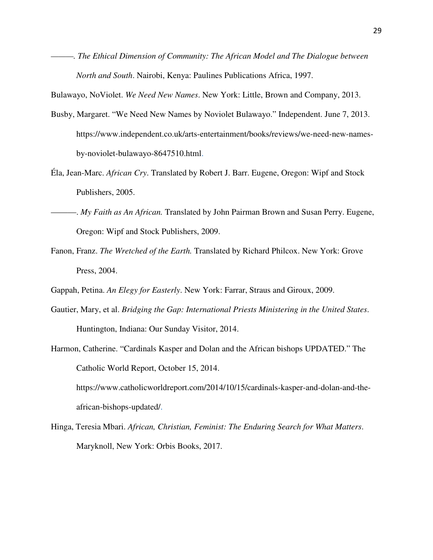*———. The Ethical Dimension of Community: The African Model and The Dialogue between North and South*. Nairobi, Kenya: Paulines Publications Africa, 1997.

Bulawayo, NoViolet. *We Need New Names*. New York: Little, Brown and Company, 2013.

- Busby, Margaret. "We Need New Names by Noviolet Bulawayo." Independent. June 7, 2013. https://www.independent.co.uk/arts-entertainment/books/reviews/we-need-new-namesby-noviolet-bulawayo-8647510.html.
- Éla, Jean-Marc. *African Cry*. Translated by Robert J. Barr. Eugene, Oregon: Wipf and Stock Publishers, 2005.
- ———. *My Faith as An African.* Translated by John Pairman Brown and Susan Perry. Eugene, Oregon: Wipf and Stock Publishers, 2009.
- Fanon, Franz. *The Wretched of the Earth.* Translated by Richard Philcox. New York: Grove Press, 2004.

Gappah, Petina. *An Elegy for Easterly*. New York: Farrar, Straus and Giroux, 2009.

- Gautier, Mary, et al. *Bridging the Gap: International Priests Ministering in the United States*. Huntington, Indiana: Our Sunday Visitor, 2014.
- Harmon, Catherine. "Cardinals Kasper and Dolan and the African bishops UPDATED." The Catholic World Report, October 15, 2014.

https://www.catholicworldreport.com/2014/10/15/cardinals-kasper-and-dolan-and-theafrican-bishops-updated/.

Hinga, Teresia Mbari. *African, Christian, Feminist: The Enduring Search for What Matters*. Maryknoll, New York: Orbis Books, 2017.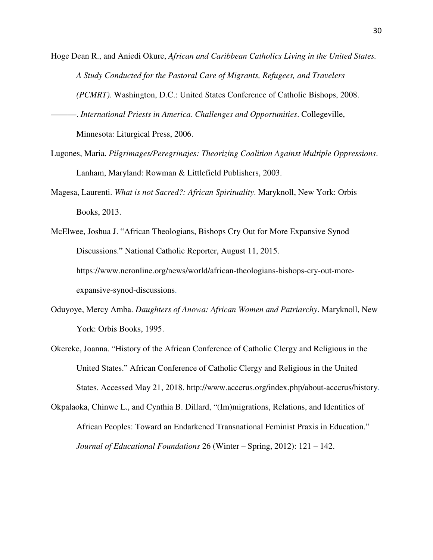- Hoge Dean R., and Aniedi Okure, *African and Caribbean Catholics Living in the United States. A Study Conducted for the Pastoral Care of Migrants, Refugees, and Travelers (PCMRT)*. Washington, D.C.: United States Conference of Catholic Bishops, 2008.
- ———. *International Priests in America. Challenges and Opportunities*. Collegeville, Minnesota: Liturgical Press, 2006.
- Lugones, Maria. *Pilgrimages/Peregrinajes: Theorizing Coalition Against Multiple Oppressions*. Lanham, Maryland: Rowman & Littlefield Publishers, 2003.
- Magesa, Laurenti. *What is not Sacred?: African Spirituality*. Maryknoll, New York: Orbis Books, 2013.
- McElwee, Joshua J. "African Theologians, Bishops Cry Out for More Expansive Synod Discussions." National Catholic Reporter, August 11, 2015. https://www.ncronline.org/news/world/african-theologians-bishops-cry-out-moreexpansive-synod-discussions.
- Oduyoye, Mercy Amba. *Daughters of Anowa: African Women and Patriarchy*. Maryknoll, New York: Orbis Books, 1995.
- Okereke, Joanna. "History of the African Conference of Catholic Clergy and Religious in the United States." African Conference of Catholic Clergy and Religious in the United States. Accessed May 21, 2018. http://www.acccrus.org/index.php/about-acccrus/history.

Okpalaoka, Chinwe L., and Cynthia B. Dillard, "(Im)migrations, Relations, and Identities of African Peoples: Toward an Endarkened Transnational Feminist Praxis in Education." *Journal of Educational Foundations* 26 (Winter – Spring, 2012): 121 – 142.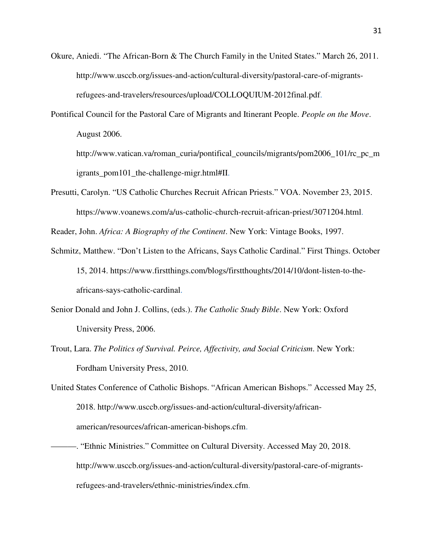- Okure, Aniedi. "The African-Born & The Church Family in the United States." March 26, 2011. http://www.usccb.org/issues-and-action/cultural-diversity/pastoral-care-of-migrantsrefugees-and-travelers/resources/upload/COLLOQUIUM-2012final.pdf.
- Pontifical Council for the Pastoral Care of Migrants and Itinerant People. *People on the Move*. August 2006.

http://www.vatican.va/roman\_curia/pontifical\_councils/migrants/pom2006\_101/rc\_pc\_m igrants\_pom101\_the-challenge-migr.html#II.

Presutti, Carolyn. "US Catholic Churches Recruit African Priests." VOA. November 23, 2015. https://www.voanews.com/a/us-catholic-church-recruit-african-priest/3071204.html.

Reader, John. *Africa: A Biography of the Continent*. New York: Vintage Books, 1997.

- Schmitz, Matthew. "Don't Listen to the Africans, Says Catholic Cardinal." First Things. October 15, 2014. https://www.firstthings.com/blogs/firstthoughts/2014/10/dont-listen-to-theafricans-says-catholic-cardinal.
- Senior Donald and John J. Collins, (eds.). *The Catholic Study Bible*. New York: Oxford University Press, 2006.
- Trout, Lara. *The Politics of Survival. Peirce, Affectivity, and Social Criticism*. New York: Fordham University Press, 2010.
- United States Conference of Catholic Bishops. "African American Bishops." Accessed May 25, 2018. http://www.usccb.org/issues-and-action/cultural-diversity/africanamerican/resources/african-american-bishops.cfm.
- ———. "Ethnic Ministries." Committee on Cultural Diversity. Accessed May 20, 2018. http://www.usccb.org/issues-and-action/cultural-diversity/pastoral-care-of-migrantsrefugees-and-travelers/ethnic-ministries/index.cfm.